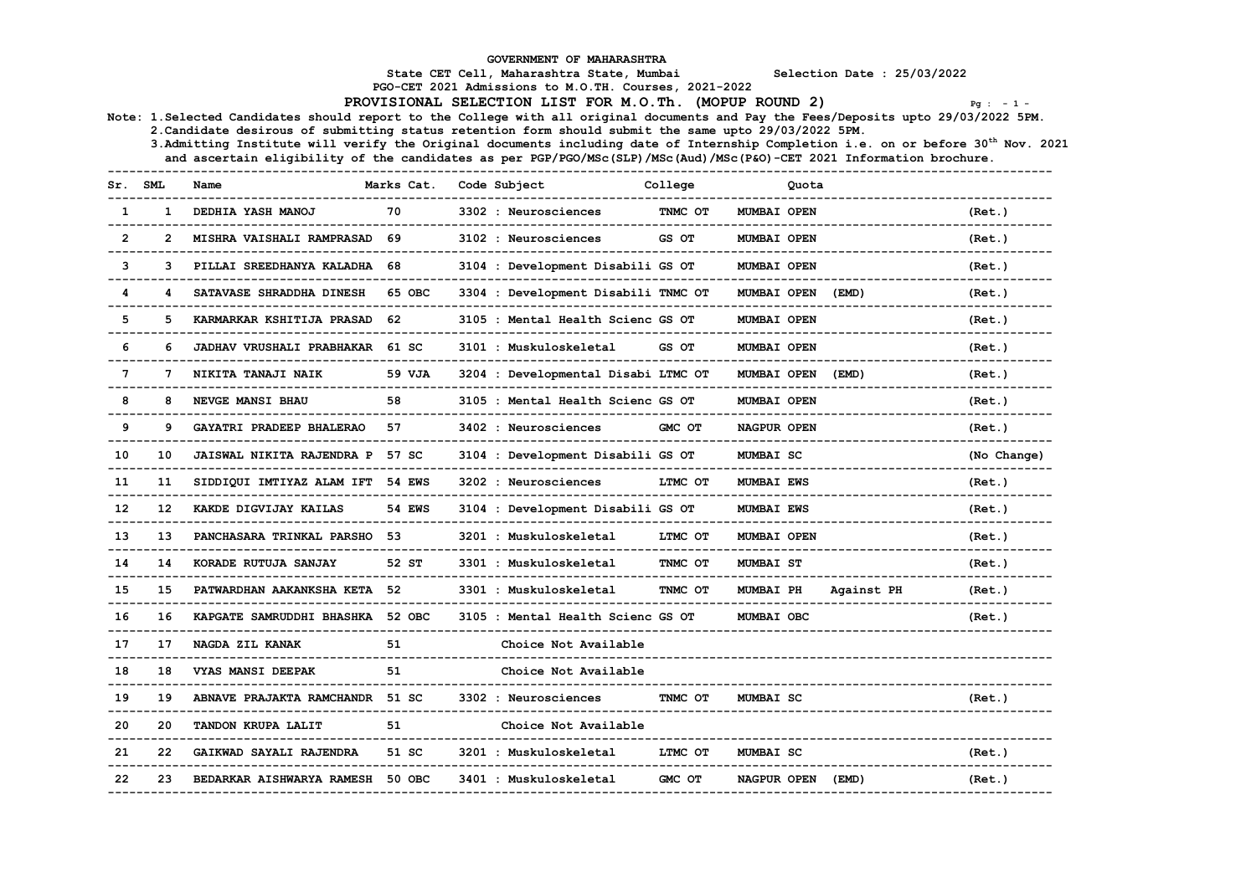GOVERNMENT OF MAHARASHTRA

State CET Cell, Maharashtra State, Mumbai Selection Date : 25/03/2022

PGO-CET 2021 Admissions to M.O.TH. Courses, 2021-2022

PROVISIONAL SELECTION LIST FOR M.O.Th. (MOPUP ROUND 2)  $Pg : -1 -$ 

Note: 1.Selected Candidates should report to the College with all original documents and Pay the Fees/Deposits upto 29/03/2022 5PM.

2.Candidate desirous of submitting status retention form should submit the same upto 29/03/2022 5PM.

3.Admitting Institute will verify the Original documents including date of Internship Completion i.e. on or before 30<sup>th</sup> Nov. 2021 and ascertain eligibility of the candidates as per PGP/PGO/MSc(SLP)/MSc(Aud)/MSc(P&O)-CET 2021 Information brochure.

|                | SML          | Name                             | Marks Cat.       | Code Subject                        | College | Quota              |            |             |
|----------------|--------------|----------------------------------|------------------|-------------------------------------|---------|--------------------|------------|-------------|
| -1             |              | DEDHIA YASH MANOJ                | 70               | 3302 : Neurosciences                | TNMC OT | MUMBAI OPEN        |            | (Ret.)      |
| $\overline{2}$ | $\mathbf{2}$ | <b>MISHRA VAISHALI RAMPRASAD</b> | 69               | 3102 : Neurosciences                | GS OT   | <b>MUMBAI OPEN</b> |            | (Ret.)      |
| 3              | 3            | PILLAI SREEDHANYA KALADHA        | 68               | 3104 : Development Disabili GS OT   |         | <b>MUMBAI OPEN</b> |            | (Ret.)      |
| 4              | 4            | SATAVASE SHRADDHA DINESH         | 65 OBC           | 3304 : Development Disabili TNMC OT |         | MUMBAI OPEN        | (EMD)      | (Ret.)      |
| 5              | 5            | KARMARKAR KSHITIJA PRASAD        | 62               | 3105 : Mental Health Scienc GS OT   |         | <b>MUMBAI OPEN</b> |            | (Ret.)      |
| 6              | 6            | JADHAV VRUSHALI PRABHAKAR        | 61 <sub>SC</sub> | 3101 : Muskuloskeletal              | GS OT   | MUMBAI OPEN        |            | (Ret.)      |
| $\overline{7}$ | 7            | NIKITA TANAJI NAIK               | 59 VJA           | 3204 : Developmental Disabi LTMC OT |         | MUMBAI OPEN        | (EMD)      | (Ret.)      |
| 8              | 8            | NEVGE MANSI BHAU                 | 58               | 3105 : Mental Health Scienc GS OT   |         | MUMBAI OPEN        |            | (Ret.)      |
| 9              | 9            | GAYATRI PRADEEP BHALERAO         | 57               | 3402 : Neurosciences                | GMC OT  | NAGPUR OPEN        |            | (Ret.)      |
| 10             | 10           | <b>JAISWAL NIKITA RAJENDRA P</b> | 57 SC            | 3104 : Development Disabili GS OT   |         | MUMBAI SC          |            | (No Change) |
| 11             | 11           | SIDDIQUI IMTIYAZ ALAM IFT        | <b>54 EWS</b>    | 3202 : Neurosciences                | LTMC OT | <b>MUMBAI EWS</b>  |            | (Ret.)      |
| 12             | 12           | KAKDE DIGVIJAY KAILAS            | <b>54 EWS</b>    | 3104 : Development Disabili GS OT   |         | <b>MUMBAI EWS</b>  |            | (Ret.)      |
| 13             | 13           | PANCHASARA TRINKAL PARSHO        | 53               | 3201 : Muskuloskeletal              | LTMC OT | MUMBAI OPEN        |            | (Ret.)      |
| 14             | 14           | KORADE RUTUJA SANJAY             | 52 ST            | 3301 : Muskuloskeletal              | TNMC OT | <b>MUMBAI ST</b>   |            | (Ret.)      |
| 15             | 15           | PATWARDHAN AAKANKSHA KETA 52     |                  | 3301 : Muskuloskeletal              | TNMC OT | <b>MUMBAI PH</b>   | Against PH | (Ret.)      |
| 16             | 16           | KAPGATE SAMRUDDHI BHASHKA        | 52 OBC           | 3105 : Mental Health Scienc GS OT   |         | MUMBAI OBC         |            | (Ret.)      |
| 17             | 17           | NAGDA ZIL KANAK                  | 51               | Choice Not Available                |         |                    |            |             |
| 18             | 18           | VYAS MANSI DEEPAK                | 51               | Choice Not Available                |         |                    |            |             |
| 19             | 19           | ABNAVE PRAJAKTA RAMCHANDR        | 51 SC            | 3302 : Neurosciences                | TNMC OT | MUMBAI SC          |            | (Ret.)      |
| 20             | 20           | TANDON KRUPA LALIT               | 51               | Choice Not Available                |         |                    |            |             |
| 21             | 22           | GAIKWAD SAYALI RAJENDRA          | 51 SC            | 3201 : Muskuloskeletal              | LTMC OT | MUMBAI SC          |            | (Ret.)      |
| 22             | 23           | BEDARKAR AISHWARYA RAMESH        | 50 OBC           | 3401 : Muskuloskeletal              | GMC OT  | NAGPUR OPEN        | (EMD)      | (Ret.)      |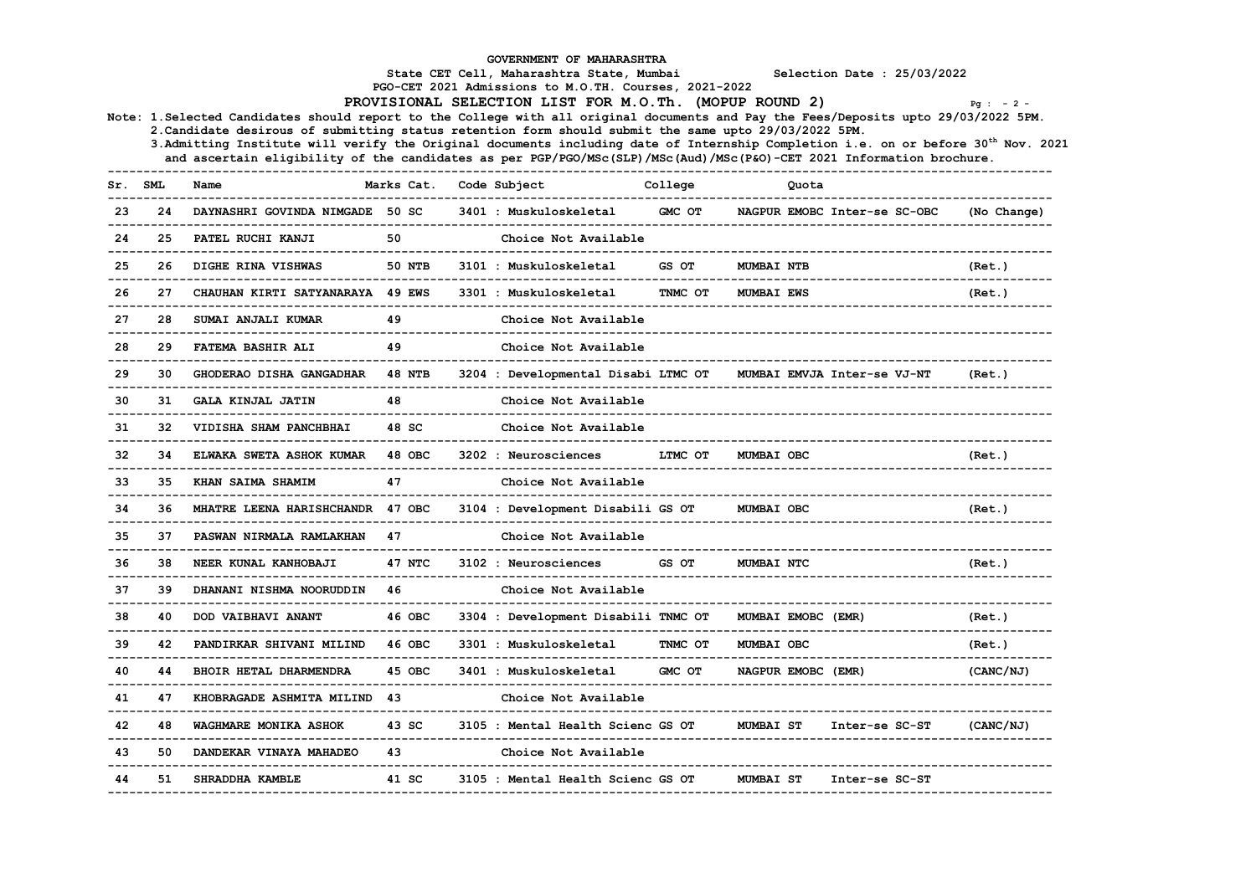GOVERNMENT OF MAHARASHTRA State CET Cell, Maharashtra State, Mumbai Selection Date : 25/03/2022 PGO-CET 2021 Admissions to M.O.TH. Courses, 2021-2022 PROVISIONAL SELECTION LIST FOR M.O.Th. (MOPUP ROUND 2)  $P_{g}$  : -2 -Note: 1.Selected Candidates should report to the College with all original documents and Pay the Fees/Deposits upto 29/03/2022 5PM. 2.Candidate desirous of submitting status retention form should submit the same upto 29/03/2022 5PM. 3. Admitting Institute will verify the Original documents including date of Internship Completion i.e. on or before  $30<sup>th</sup>$  Nov. 2021 and ascertain eligibility of the candidates as per PGP/PGO/MSc(SLP)/MSc(Aud)/MSc(P&O)-CET 2021 Information brochure. ------------------------------------------------------------------------------------------------------------------------------------ Sr. SML Name Marks Cat. Code Subject College Quota ------------------------------------------------------------------------------------------------------------------------------------ 23 24 DAYNASHRI GOVINDA NIMGADE 50 SC 3401 : Muskuloskeletal GMC OT NAGPUR EMOBC Inter-se SC-OBC (No Change) ------------------------------------------------------------------------------------------------------------------------------------ 24 25 PATEL RUCHI KANJI 50 Choice Not Available ------------------------------------------------------------------------------------------------------------------------------------ 25 26 DIGHE RINA VISHWAS 50 NTB 3101 : Muskuloskeletal GS OT MUMBAI NTB (Ret.) ------------------------------------------------------------------------------------------------------------------------------------ 26 27 CHAUHAN KIRTI SATYANARAYA 49 EWS 3301 : Muskuloskeletal TNMC OT MUMBAI EWS (Ret.) ------------------------------------------------------------------------------------------------------------------------------------ 27 28 SUMAI ANJALI KUMAR 49 Choice Not Available ------------------------------------------------------------------------------------------------------------------------------------ 28 29 FATEMA BASHIR ALI 49 Choice Not Available ------------------------------------------------------------------------------------------------------------------------------------ 29 30 GHODERAO DISHA GANGADHAR 48 NTB 3204 : Developmental Disabi LTMC OT MUMBAI EMVJA Inter-se VJ-NT (Ret.) ------------------------------------------------------------------------------------------------------------------------------------ 30 31 GALA KINJAL JATIN 48 Choice Not Available ------------------------------------------------------------------------------------------------------------------------------------ 31 32 VIDISHA SHAM PANCHBHAI 48 SC Choice Not Available ------------------------------------------------------------------------------------------------------------------------------------ 32 34 ELWAKA SWETA ASHOK KUMAR 48 OBC 3202 : Neurosciences LTMC OT MUMBAI OBC (Ret.) ------------------------------------------------------------------------------------------------------------------------------------ 33 35 KHAN SAIMA SHAMIM 47 Choice Not Available ------------------------------------------------------------------------------------------------------------------------------------ 34 36 MHATRE LEENA HARISHCHANDR 47 OBC 3104 : Development Disabili GS OT MUMBAI OBC (Ret.) ------------------------------------------------------------------------------------------------------------------------------------ 37 PASWAN NIRMALA RAMLAKHAN 47 ------------------------------------------------------------------------------------------------------------------------------------ 36 38 NEER KUNAL KANHOBAJI 47 NTC 3102 : Neurosciences GS OT MUMBAI NTC (Ret.) ------------------------------------------------------------------------------------------------------------------------------------ 37 39 DHANANI NISHMA NOORUDDIN 46 Choice Not Available ------------------------------------------------------------------------------------------------------------------------------------ 38 40 DOD VAIBHAVI ANANT 46 OBC 3304 : Development Disabili TNMC OT MUMBAI EMOBC (EMR) (Ret.) ------------------------------------------------------------------------------------------------------------------------------------ 39 42 PANDIRKAR SHIVANI MILIND 46 OBC 3301 : Muskuloskeletal TNMC OT MUMBAI OBC (Ret.) ------------------------------------------------------------------------------------------------------------------------------------ 40 44 BHOIR HETAL DHARMENDRA 45 OBC 3401 : Muskuloskeletal GMC OT NAGPUR EMOBC (EMR) (CANC/NJ) ------------------------------------------------------------------------------------------------------------------------------------ 41 47 KHOBRAGADE ASHMITA MILIND 43 Choice Not Available ------------------------------------------------------------------------------------------------------------------------------------ 48 WAGHMARE MONIKA ASHOK 43 SC 3105 : Mental Health Scienc GS OT MUMBAI ST Inter-se SC-ST ------------------------------------------------------------------------------------------------------------------------------------ 50 DANDEKAR VINAYA MAHADEO 43 ------------------------------------------------------------------------------------------------------------------------------------ 41 SC 3105 : Mental Health Scienc GS OT MUMBAI ST Inter-se SC-ST ------------------------------------------------------------------------------------------------------------------------------------